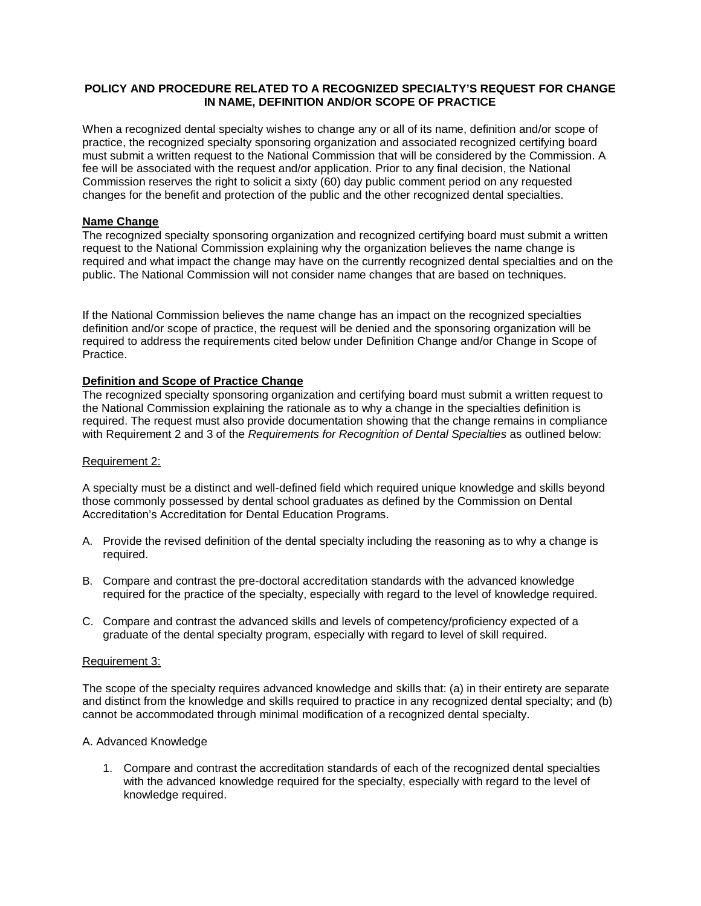## **POLICY AND PROCEDURE RELATED TO A RECOGNIZED SPECIALTY'S REQUEST FOR CHANGE IN NAME, DEFINITION AND/OR SCOPE OF PRACTICE**

When a recognized dental specialty wishes to change any or all of its name, definition and/or scope of practice, the recognized specialty sponsoring organization and associated recognized certifying board must submit a written request to the National Commission that will be considered by the Commission. A fee will be associated with the request and/or application. Prior to any final decision, the National Commission reserves the right to solicit a sixty (60) day public comment period on any requested changes for the benefit and protection of the public and the other recognized dental specialties.

## **Name Change**

The recognized specialty sponsoring organization and recognized certifying board must submit a written request to the National Commission explaining why the organization believes the name change is required and what impact the change may have on the currently recognized dental specialties and on the public. The National Commission will not consider name changes that are based on techniques.

If the National Commission believes the name change has an impact on the recognized specialties definition and/or scope of practice, the request will be denied and the sponsoring organization will be required to address the requirements cited below under Definition Change and/or Change in Scope of Practice.

# **Definition and Scope of Practice Change**

The recognized specialty sponsoring organization and certifying board must submit a written request to the National Commission explaining the rationale as to why a change in the specialties definition is required. The request must also provide documentation showing that the change remains in compliance with Requirement 2 and 3 of the *Requirements for Recognition of Dental Specialties* as outlined below:

#### Requirement 2:

A specialty must be a distinct and well-defined field which required unique knowledge and skills beyond those commonly possessed by dental school graduates as defined by the Commission on Dental Accreditation's Accreditation for Dental Education Programs.

- A. Provide the revised definition of the dental specialty including the reasoning as to why a change is required.
- B. Compare and contrast the pre-doctoral accreditation standards with the advanced knowledge required for the practice of the specialty, especially with regard to the level of knowledge required.
- C. Compare and contrast the advanced skills and levels of competency/proficiency expected of a graduate of the dental specialty program, especially with regard to level of skill required.

#### Requirement 3:

The scope of the specialty requires advanced knowledge and skills that: (a) in their entirety are separate and distinct from the knowledge and skills required to practice in any recognized dental specialty; and (b) cannot be accommodated through minimal modification of a recognized dental specialty.

#### A. Advanced Knowledge

1. Compare and contrast the accreditation standards of each of the recognized dental specialties with the advanced knowledge required for the specialty, especially with regard to the level of knowledge required.